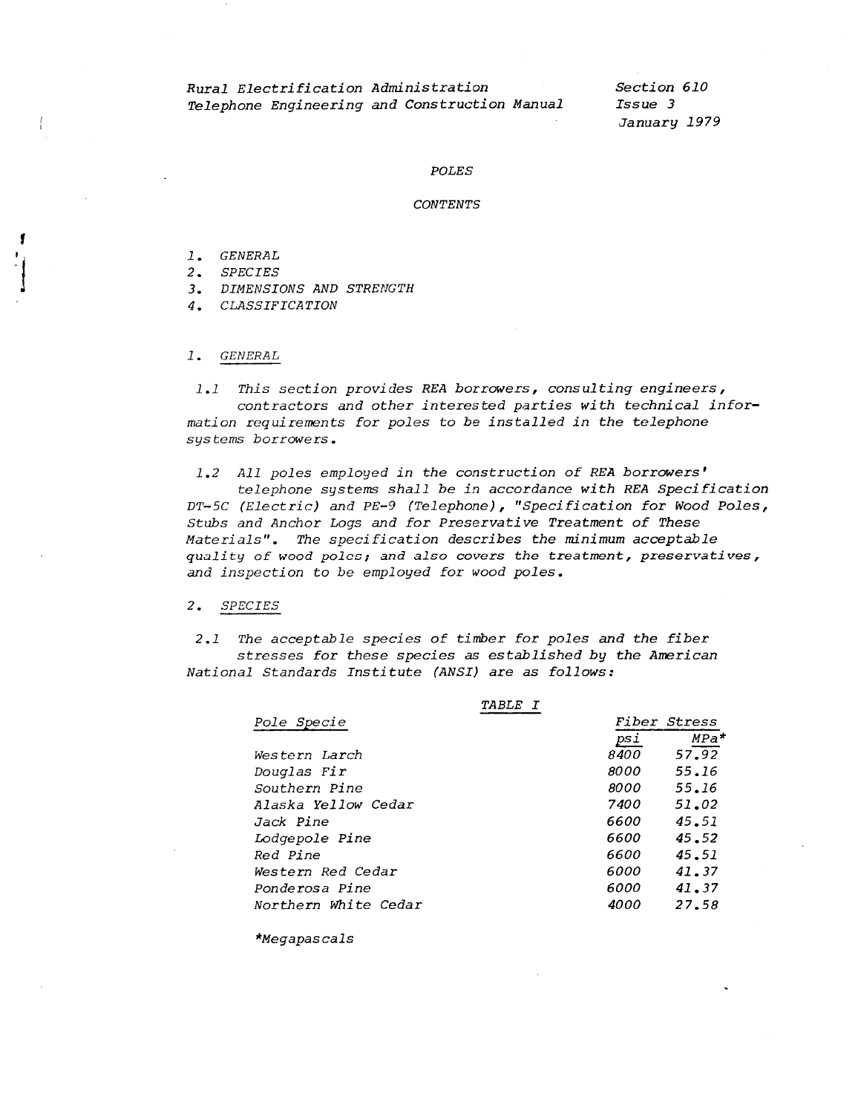# Rural Electrification Administration Telephone Engineering and Construction Manual

Section 610 Issue 3 January 1979

#### **POLES**

#### **CONTENTS**

1. GENERAL

 $\left\{ \right.$ 

- 2. SPECIES
- 3. DIMENSIONS AND STRENGTH
- 4. CLASSIFICATION
- 1. GENERAL

1.1 This section provides REA borrowers, consulting engineers, contractors and other interested parties with technical information requirements for poles to be installed in the telephone systems borrowers.

1.2 All poles employed in the construction of REA borrowers' telephone systems shall be in accordance with REA Specification DT-5C (Electric) and PE-9 (Telephone), "Specification for Wood Poles, Stubs and Anchor Logs and for Preservative Treatment of These Materials". The specification describes the minimum acceptable quality of wood poles; and also covers the treatment, preservatives, and inspection to be employed for wood poles.

### 2. SPECIES

2.1 The acceptable species of timber for poles and the fiber stresses for these species as established by the American National Standards Institute (ANSI) are as follows:

| <i>TABLE I</i>        |      |                     |  |
|-----------------------|------|---------------------|--|
| Pole Specie           |      | <i>Fiber Stress</i> |  |
|                       | psi  | $MPa*$              |  |
| Western Larch         | 8400 | 57.92               |  |
| Douglas Fir           | 8000 | 55.16               |  |
| Southern Pine         | 8000 | 55.16               |  |
| Alaska Yellow Cedar   | 7400 | 51.02               |  |
| Jack Pine             | 6600 | 45.51               |  |
| <i>Lodgepole Pine</i> | 6600 | 45.52               |  |
| Red Pine              | 6600 | 45.51               |  |
| Western Red Cedar     | 6000 | 41.37               |  |
| Ponderosa Pine        | 6000 | 41.37               |  |
| Northern White Cedar  | 4000 | 27.58               |  |

\*Megapascals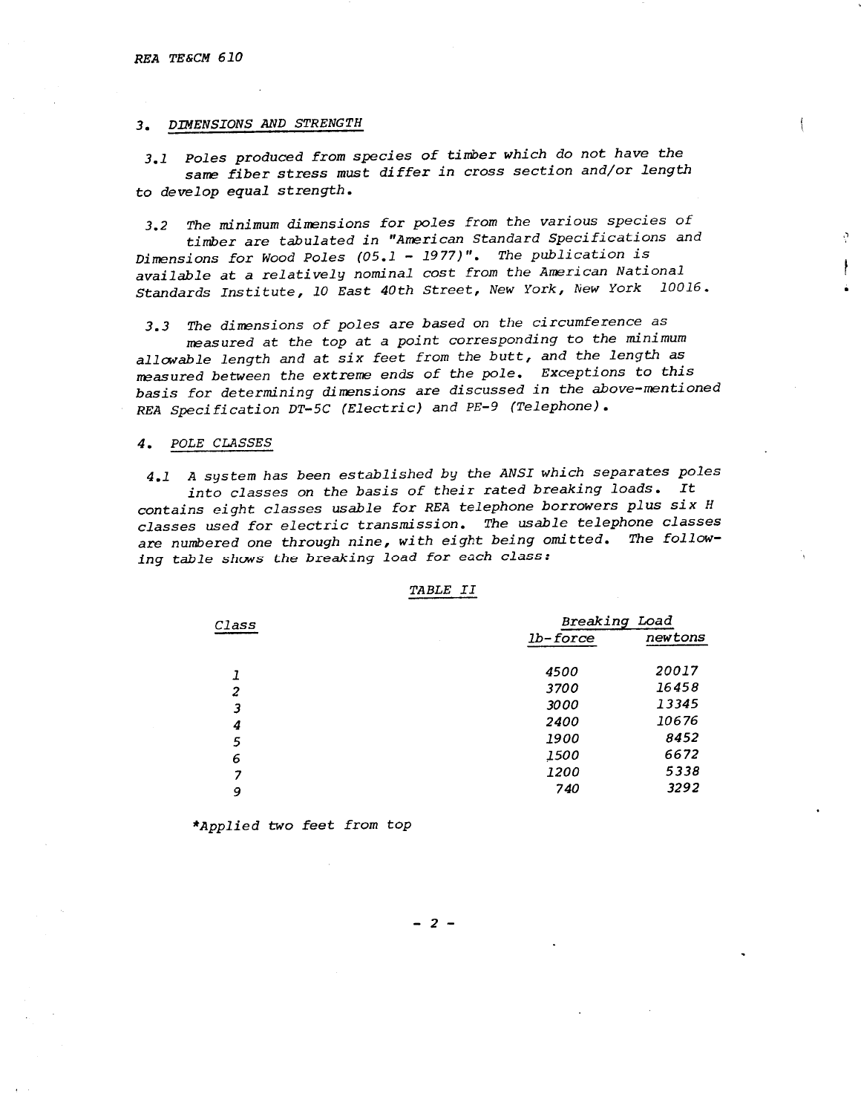## *3. DIMENSIONS AND STRENGTH*

*3.1 Poles produced from species of timber which do not have the same fiber stress must differ in cross section and/or length*  to *develop equal strength.* 

*3.2 The minimum dimensions for poles from the various species of timber are tabulated in "American Standard Specifications and Dimensions for Wood Poles (05.1* - *1977)* ". *The publication is available at a relatively nominal cost from the American National Standards Institute, 10 East 40th Street, New York, New York 10016.* 

*3.3 The dimensions of poles are based on the circumference as* 

*measured at the top* at *a point corresponding to the minimum allowable length and at six feet from the butt, and the length as measured between the extreme ends of the pole. Exceptions to this basis for determining dimensions are discussed in the above-mentioned REA Specification DT-5C (Electric) and PE-9 (Telephone).* 

### *4. POLE CLASSES*

*4.1 A system has been established by the ANSI which* separates *poles into classes on the basis of their rated breaking loads. It contains eight classes usable for REA telephone borrowers plus six <sup>H</sup> classes used for electric transmission. The usable telephone classes are numbered one through nine, with eight being omitted. The following table shows the breaking load for each class:* 

#### *TABLE II*

| Class          |             | Breaking Load |  |
|----------------|-------------|---------------|--|
|                | $1b$ -force | newtons       |  |
| 1              | 4500        | 20017         |  |
| $\overline{c}$ | 3700        | 16458         |  |
| 3              | 3000        | 13345         |  |
| 4              | 2400        | 10676         |  |
| 5              | 1900        | 8452          |  |
| 6              | <i>1500</i> | 6672          |  |
| 7              | <i>1200</i> | 5338          |  |
| 9              | 740         | 3292          |  |

*\*Applied two feet from top* 

2 -